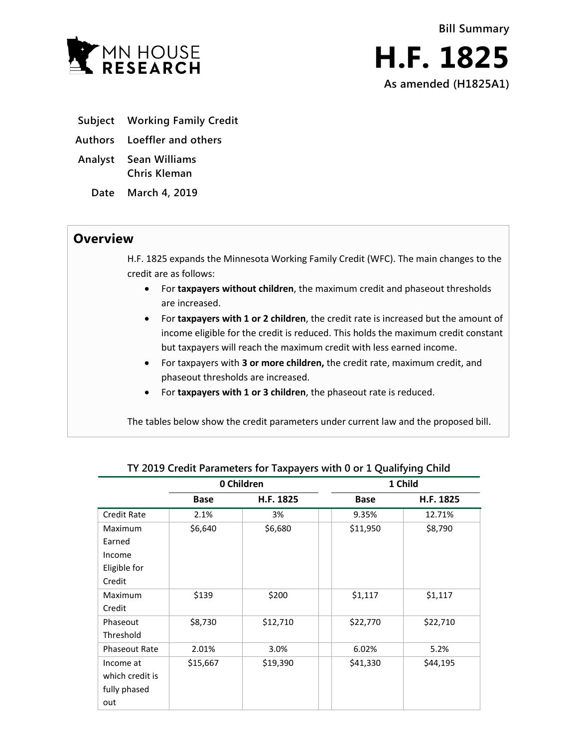

- **Subject Working Family Credit**
- **Authors Loeffler and others**
- **Analyst Sean Williams Chris Kleman**
	- **Date March 4, 2019**

## **Overview**

H.F. 1825 expands the Minnesota Working Family Credit (WFC). The main changes to the credit are as follows:

- For **taxpayers without children**, the maximum credit and phaseout thresholds are increased.
- For **taxpayers with 1 or 2 children**, the credit rate is increased but the amount of income eligible for the credit is reduced. This holds the maximum credit constant but taxpayers will reach the maximum credit with less earned income.
- For taxpayers with **3 or more children,** the credit rate, maximum credit, and phaseout thresholds are increased.
- For **taxpayers with 1 or 3 children**, the phaseout rate is reduced.

The tables below show the credit parameters under current law and the proposed bill.

|                      |             | 0 Children | 1 Child     |           |  |
|----------------------|-------------|------------|-------------|-----------|--|
|                      | <b>Base</b> | H.F. 1825  | <b>Base</b> | H.F. 1825 |  |
| <b>Credit Rate</b>   | 2.1%        | 3%         | 9.35%       | 12.71%    |  |
| <b>Maximum</b>       | \$6,640     | \$6,680    | \$11,950    | \$8,790   |  |
| Earned               |             |            |             |           |  |
| Income               |             |            |             |           |  |
| Eligible for         |             |            |             |           |  |
| Credit               |             |            |             |           |  |
| <b>Maximum</b>       | \$139       | \$200      | \$1,117     | \$1,117   |  |
| Credit               |             |            |             |           |  |
| Phaseout             | \$8,730     | \$12,710   | \$22,770    | \$22,710  |  |
| Threshold            |             |            |             |           |  |
| <b>Phaseout Rate</b> | 2.01%       | 3.0%       | 6.02%       | 5.2%      |  |
| Income at            | \$15,667    | \$19,390   | \$41,330    | \$44,195  |  |
| which credit is      |             |            |             |           |  |
| fully phased         |             |            |             |           |  |
| out                  |             |            |             |           |  |

**TY 2019 Credit Parameters for Taxpayers with 0 or 1 Qualifying Child**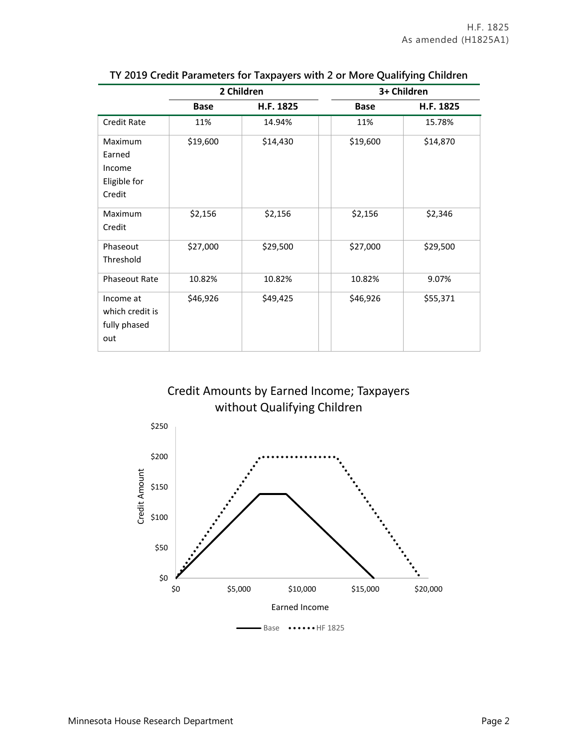|                                                       |             | 2 Children | 3+ Children |                                 |  |  |
|-------------------------------------------------------|-------------|------------|-------------|---------------------------------|--|--|
|                                                       | <b>Base</b> | H.F. 1825  | <b>Base</b> | H.F. 1825                       |  |  |
| <b>Credit Rate</b>                                    | 11%         | 14.94%     | 11%         | 15.78%                          |  |  |
| Maximum<br>Earned<br>Income<br>Eligible for<br>Credit | \$19,600    | \$14,430   | \$19,600    | \$14,870<br>\$2,346<br>\$29,500 |  |  |
| Maximum<br>Credit                                     | \$2,156     | \$2,156    | \$2,156     |                                 |  |  |
| Phaseout<br>Threshold                                 | \$27,000    | \$29,500   | \$27,000    |                                 |  |  |
| <b>Phaseout Rate</b>                                  | 10.82%      | 10.82%     | 10.82%      | 9.07%                           |  |  |
| Income at<br>which credit is<br>fully phased<br>out   | \$46,926    | \$49,425   | \$46,926    | \$55,371                        |  |  |

|  | TY 2019 Credit Parameters for Taxpayers with 2 or More Qualifying Children |  |  |  |
|--|----------------------------------------------------------------------------|--|--|--|
|  |                                                                            |  |  |  |



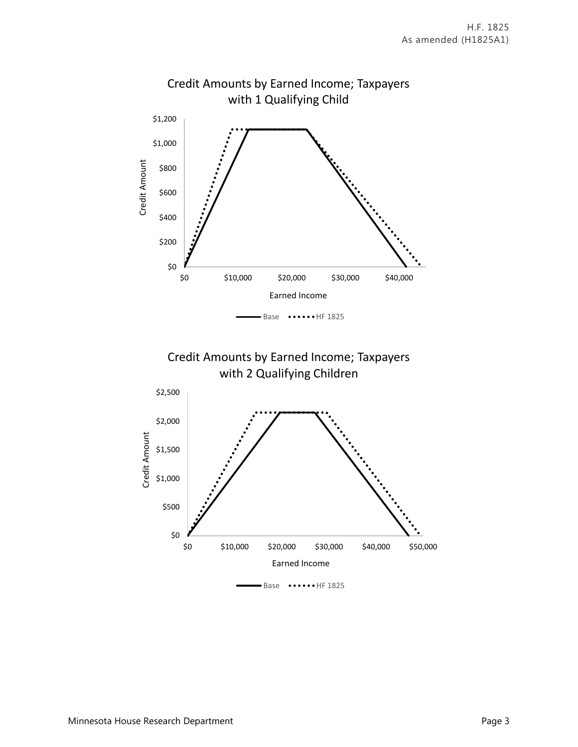